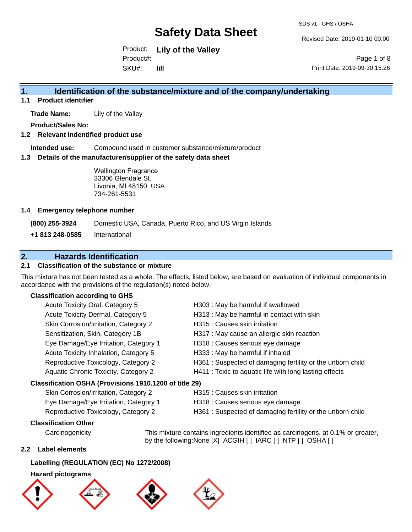Revised Date: 2019-01-10 00:00

Product: **Lily of the Valley** SKU#: Product#: **lill**

Page 1 of 8 Print Date: 2019-09-30 15:26

## **1. Identification of the substance/mixture and of the company/undertaking**

**1.1 Product identifier**

**Trade Name:** Lily of the Valley

**Product/Sales No:**

#### **1.2 Relevant indentified product use**

**Intended use:** Compound used in customer substance/mixture/product

#### **1.3 Details of the manufacturer/supplier of the safety data sheet**

Wellington Fragrance 33306 Glendale St. Livonia, MI 48150 USA 734-261-5531

#### **1.4 Emergency telephone number**

**(800) 255-3924** Domestic USA, Canada, Puerto Rico, and US Virgin Islands

**+1 813 248-0585** International

### **2. Hazards Identification**

### **2.1 Classification of the substance or mixture**

This mixture has not been tested as a whole. The effects, listed below, are based on evaluation of individual components in accordance with the provisions of the regulation(s) noted below.

#### **Classification according to GHS**

| Acute Toxicity Oral, Category 5                      | H303 : May be harmful if swallowed                         |
|------------------------------------------------------|------------------------------------------------------------|
| Acute Toxicity Dermal, Category 5                    | H313 : May be harmful in contact with skin                 |
| Skin Corrosion/Irritation, Category 2                | H315 : Causes skin irritation                              |
| Sensitization, Skin, Category 1B                     | H317 : May cause an allergic skin reaction                 |
| Eye Damage/Eye Irritation, Category 1                | H318 : Causes serious eye damage                           |
| Acute Toxicity Inhalation, Category 5                | H333: May be harmful if inhaled                            |
| Reproductive Toxicology, Category 2                  | H361 : Suspected of damaging fertility or the unborn child |
| Aquatic Chronic Toxicity, Category 2                 | H411 : Toxic to aquatic life with long lasting effects     |
| assification OSHA (Provisions 1910.1200 of title 29) |                                                            |
|                                                      |                                                            |

### **Classification OSHA (Provisions 1910.1200 of title 29)**

| Skin Corrosion/Irritation, Category 2 |
|---------------------------------------|
| Eye Damage/Eye Irritation, Category 1 |
| Reproductive Toxicology, Category 2   |

- H315 : Causes skin irritation
- H318 : Causes serious eye damage
- H361 : Suspected of damaging fertility or the unborn child

### **Classification Other**

Carcinogenicity This mixture contains ingredients identified as carcinogens, at 0.1% or greater, by the following:None [X] ACGIH [ ] IARC [ ] NTP [ ] OSHA [ ]

#### **2.2 Label elements**

#### **Labelling (REGULATION (EC) No 1272/2008)**

#### **Hazard pictograms**







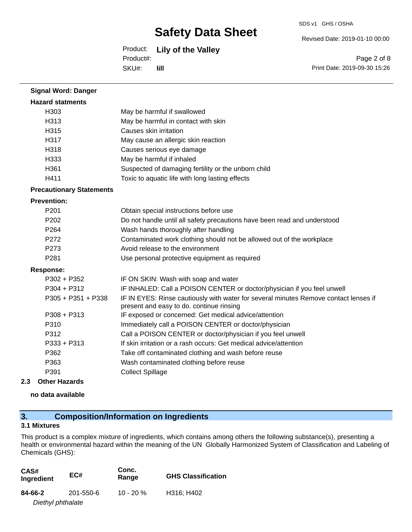## Product: **Lily of the Valley**

Product#:

SKU#: **lill** Revised Date: 2019-01-10 00:00

SDS v1 GHS / OSHA

Page 2 of 8 Print Date: 2019-09-30 15:26

| <b>Signal Word: Danger</b>      |                                                                                                                                  |
|---------------------------------|----------------------------------------------------------------------------------------------------------------------------------|
| <b>Hazard statments</b>         |                                                                                                                                  |
| H303                            | May be harmful if swallowed                                                                                                      |
| H313                            | May be harmful in contact with skin                                                                                              |
| H315                            | Causes skin irritation                                                                                                           |
| H317                            | May cause an allergic skin reaction                                                                                              |
| H318                            | Causes serious eye damage                                                                                                        |
| H333                            | May be harmful if inhaled                                                                                                        |
| H361                            | Suspected of damaging fertility or the unborn child                                                                              |
| H411                            | Toxic to aquatic life with long lasting effects                                                                                  |
| <b>Precautionary Statements</b> |                                                                                                                                  |
| <b>Prevention:</b>              |                                                                                                                                  |
| P201                            | Obtain special instructions before use                                                                                           |
| P <sub>202</sub>                | Do not handle until all safety precautions have been read and understood                                                         |
| P <sub>264</sub>                | Wash hands thoroughly after handling                                                                                             |
| P272                            | Contaminated work clothing should not be allowed out of the workplace                                                            |
| P273                            | Avoid release to the environment                                                                                                 |
| P281                            | Use personal protective equipment as required                                                                                    |
| <b>Response:</b>                |                                                                                                                                  |
| $P302 + P352$                   | IF ON SKIN: Wash with soap and water                                                                                             |
| $P304 + P312$                   | IF INHALED: Call a POISON CENTER or doctor/physician if you feel unwell                                                          |
| P305 + P351 + P338              | IF IN EYES: Rinse cautiously with water for several minutes Remove contact lenses if<br>present and easy to do. continue rinsing |
| $P308 + P313$                   | IF exposed or concerned: Get medical advice/attention                                                                            |
| P310                            | Immediately call a POISON CENTER or doctor/physician                                                                             |
| P312                            | Call a POISON CENTER or doctor/physician if you feel unwell                                                                      |
| P333 + P313                     | If skin irritation or a rash occurs: Get medical advice/attention                                                                |
| P362                            | Take off contaminated clothing and wash before reuse                                                                             |
| P363                            | Wash contaminated clothing before reuse                                                                                          |
| P391                            | <b>Collect Spillage</b>                                                                                                          |
|                                 |                                                                                                                                  |

#### **2.3 Other Hazards**

**no data available**

## **3. Composition/Information on Ingredients**

#### **3.1 Mixtures**

This product is a complex mixture of ingredients, which contains among others the following substance(s), presenting a health or environmental hazard within the meaning of the UN Globally Harmonized System of Classification and Labeling of Chemicals (GHS):

| CAS#<br>Ingredient | EC#       | Conc.<br>Range | <b>GHS Classification</b> |
|--------------------|-----------|----------------|---------------------------|
| 84-66-2            | 201-550-6 | $10 - 20 \%$   | H316; H402                |
| Diethyl phthalate  |           |                |                           |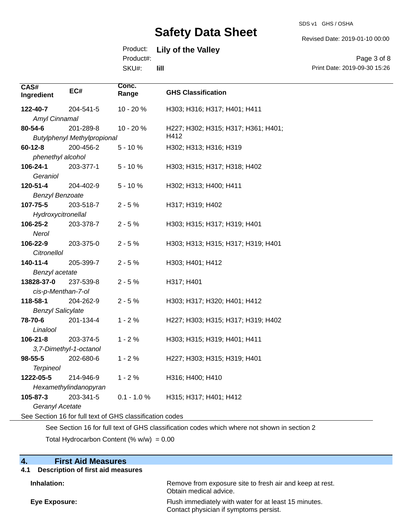SDS v1 GHS / OSHA

Revised Date: 2019-01-10 00:00

# Product: **Lily of the Valley**

Product#:

SKU#: **lill**

Page 3 of 8 Print Date: 2019-09-30 15:26

| CAS#<br>Ingredient       | EC#                                                      | Conc.<br>Range | <b>GHS Classification</b>           |
|--------------------------|----------------------------------------------------------|----------------|-------------------------------------|
| 122-40-7                 | 204-541-5                                                | 10 - 20 %      | H303; H316; H317; H401; H411        |
| Amyl Cinnamal            |                                                          |                |                                     |
| 80-54-6                  | 201-289-8                                                | 10 - 20 %      | H227; H302; H315; H317; H361; H401; |
|                          | <b>Butylphenyl Methylpropional</b>                       |                | H412                                |
| $60 - 12 - 8$            | 200-456-2                                                | $5 - 10%$      | H302; H313; H316; H319              |
| phenethyl alcohol        |                                                          |                |                                     |
| 106-24-1                 | 203-377-1                                                | $5 - 10%$      | H303; H315; H317; H318; H402        |
| Geraniol                 |                                                          |                |                                     |
| 120-51-4                 | 204-402-9                                                | $5 - 10%$      | H302; H313; H400; H411              |
| <b>Benzyl Benzoate</b>   |                                                          |                |                                     |
| 107-75-5                 | 203-518-7                                                | $2 - 5%$       | H317; H319; H402                    |
| Hydroxycitronellal       |                                                          |                |                                     |
| 106-25-2                 | 203-378-7                                                | $2 - 5%$       | H303; H315; H317; H319; H401        |
| Nerol                    |                                                          |                |                                     |
| 106-22-9                 | 203-375-0                                                | $2 - 5%$       | H303; H313; H315; H317; H319; H401  |
| Citronellol              |                                                          |                |                                     |
| 140-11-4                 | 205-399-7                                                | $2 - 5%$       | H303; H401; H412                    |
| Benzyl acetate           |                                                          |                |                                     |
| 13828-37-0               | 237-539-8                                                | $2 - 5%$       | H317; H401                          |
| cis-p-Menthan-7-ol       |                                                          |                |                                     |
| 118-58-1                 | 204-262-9                                                | $2 - 5%$       | H303; H317; H320; H401; H412        |
| <b>Benzyl Salicylate</b> |                                                          |                |                                     |
| 78-70-6                  | 201-134-4                                                | $1 - 2%$       | H227; H303; H315; H317; H319; H402  |
| Linalool                 |                                                          |                |                                     |
| $106 - 21 - 8$           | 203-374-5                                                | $1 - 2%$       | H303; H315; H319; H401; H411        |
|                          | 3,7-Dimethyl-1-octanol                                   |                |                                     |
| $98 - 55 - 5$            | 202-680-6                                                | $1 - 2%$       | H227; H303; H315; H319; H401        |
| <b>Terpineol</b>         |                                                          |                |                                     |
| 1222-05-5                | 214-946-9                                                | $1 - 2%$       | H316; H400; H410                    |
|                          | Hexamethylindanopyran                                    |                |                                     |
| 105-87-3                 | 203-341-5                                                | $0.1 - 1.0 %$  | H315; H317; H401; H412              |
| Geranyl Acetate          |                                                          |                |                                     |
|                          | See Section 16 for full text of GHS classification codes |                |                                     |

See Section 16 for full text of GHS classification codes which where not shown in section 2

Total Hydrocarbon Content  $(\% w/w) = 0.00$ 

| 4.<br><b>First Aid Measures</b>          |                                                                                                 |
|------------------------------------------|-------------------------------------------------------------------------------------------------|
| Description of first aid measures<br>4.1 |                                                                                                 |
| Inhalation:                              | Remove from exposure site to fresh air and keep at rest.<br>Obtain medical advice.              |
| Eye Exposure:                            | Flush immediately with water for at least 15 minutes.<br>Contact physician if symptoms persist. |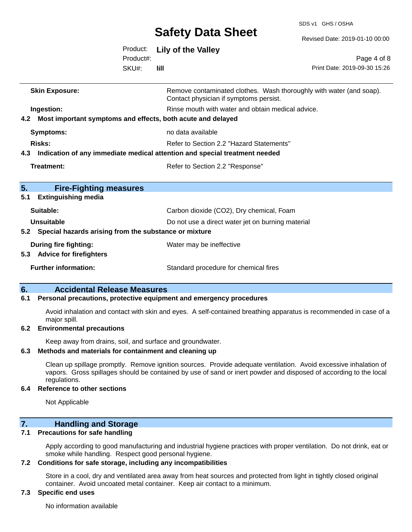SDS v1 GHS / OSHA

 $8<sub>o</sub>$ 

|                                                                 |                       | <b>JAICLY DAIA JIICCL</b>                                                      | Revised Date: 2019-01-10 00:00                                      |
|-----------------------------------------------------------------|-----------------------|--------------------------------------------------------------------------------|---------------------------------------------------------------------|
|                                                                 | Product:<br>Product#: | <b>Lily of the Valley</b>                                                      | Page 4 of 8                                                         |
|                                                                 | SKU#:                 | <b>Till</b>                                                                    | Print Date: 2019-09-30 15:26                                        |
| <b>Skin Exposure:</b>                                           |                       | Contact physician if symptoms persist.                                         | Remove contaminated clothes. Wash thoroughly with water (and soap). |
| Ingestion:                                                      |                       | Rinse mouth with water and obtain medical advice.                              |                                                                     |
| 4.2 Most important symptoms and effects, both acute and delayed |                       |                                                                                |                                                                     |
| <b>Symptoms:</b>                                                |                       | no data available                                                              |                                                                     |
| Risks:                                                          |                       | Refer to Section 2.2 "Hazard Statements"                                       |                                                                     |
|                                                                 |                       | 4.3 Indication of any immediate medical attention and special treatment needed |                                                                     |
| <b>Treatment:</b>                                               |                       | Refer to Section 2.2 "Response"                                                |                                                                     |
| 5.<br><b>Fire-Fighting measures</b>                             |                       |                                                                                |                                                                     |
| <b>Extinguishing media</b><br>5.1                               |                       |                                                                                |                                                                     |
| Suitable:                                                       |                       | Carbon dioxide (CO2), Dry chemical, Foam                                       |                                                                     |
| <b>Unsuitable</b>                                               |                       | Do not use a direct water jet on burning material                              |                                                                     |
| 5.2 Special hazards arising from the substance or mixture       |                       |                                                                                |                                                                     |
| <b>During fire fighting:</b>                                    |                       | Water may be ineffective                                                       |                                                                     |
| 5.3 Advice for firefighters                                     |                       |                                                                                |                                                                     |
| <b>Further information:</b>                                     |                       | Standard procedure for chemical fires                                          |                                                                     |
| A start to contact the change of the start                      |                       |                                                                                |                                                                     |

# **6. Accidental Release Measures**

### **6.1 Personal precautions, protective equipment and emergency procedures**

Avoid inhalation and contact with skin and eyes. A self-contained breathing apparatus is recommended in case of a major spill.

#### **6.2 Environmental precautions**

Keep away from drains, soil, and surface and groundwater.

#### **6.3 Methods and materials for containment and cleaning up**

Clean up spillage promptly. Remove ignition sources. Provide adequate ventilation. Avoid excessive inhalation of vapors. Gross spillages should be contained by use of sand or inert powder and disposed of according to the local regulations.

#### **6.4 Reference to other sections**

Not Applicable

### **7. Handling and Storage**

#### **7.1 Precautions for safe handling**

Apply according to good manufacturing and industrial hygiene practices with proper ventilation. Do not drink, eat or smoke while handling. Respect good personal hygiene.

#### **7.2 Conditions for safe storage, including any incompatibilities**

Store in a cool, dry and ventilated area away from heat sources and protected from light in tightly closed original container. Avoid uncoated metal container. Keep air contact to a minimum.

#### **7.3 Specific end uses**

No information available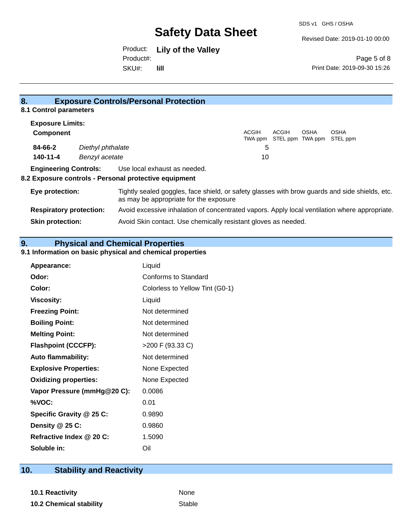Revised Date: 2019-01-10 00:00

# Product: **Lily of the Valley** Product#:

SKU#: **lill**

Page 5 of 8 Print Date: 2019-09-30 15:26

| ō.                             |                   | <b>Exposure Controls/Personal Protection</b>                                                                                             |                  |       |                                 |                         |
|--------------------------------|-------------------|------------------------------------------------------------------------------------------------------------------------------------------|------------------|-------|---------------------------------|-------------------------|
| 8.1 Control parameters         |                   |                                                                                                                                          |                  |       |                                 |                         |
| <b>Exposure Limits:</b>        |                   |                                                                                                                                          |                  |       |                                 |                         |
| <b>Component</b>               |                   |                                                                                                                                          | ACGIH<br>TWA ppm | ACGIH | <b>OSHA</b><br>STEL ppm TWA ppm | <b>OSHA</b><br>STEL ppm |
| 84-66-2                        | Diethyl phthalate |                                                                                                                                          | 5                |       |                                 |                         |
| 140-11-4                       | Benzyl acetate    |                                                                                                                                          | 10               |       |                                 |                         |
| <b>Engineering Controls:</b>   |                   | Use local exhaust as needed.                                                                                                             |                  |       |                                 |                         |
|                                |                   | 8.2 Exposure controls - Personal protective equipment                                                                                    |                  |       |                                 |                         |
| Eye protection:                |                   | Tightly sealed goggles, face shield, or safety glasses with brow guards and side shields, etc.<br>as may be appropriate for the exposure |                  |       |                                 |                         |
| <b>Respiratory protection:</b> |                   | Avoid excessive inhalation of concentrated vapors. Apply local ventilation where appropriate.                                            |                  |       |                                 |                         |
| <b>Skin protection:</b>        |                   | Avoid Skin contact. Use chemically resistant gloves as needed.                                                                           |                  |       |                                 |                         |
|                                |                   |                                                                                                                                          |                  |       |                                 |                         |

## **9. Physical and Chemical Properties**

**8. Exposure Controls/Personal Protection** 

### **9.1 Information on basic physical and chemical properties**

| Appearance:                  | Liquid                          |
|------------------------------|---------------------------------|
| Odor:                        | Conforms to Standard            |
| Color:                       | Colorless to Yellow Tint (G0-1) |
| <b>Viscosity:</b>            | Liquid                          |
| <b>Freezing Point:</b>       | Not determined                  |
| <b>Boiling Point:</b>        | Not determined                  |
| <b>Melting Point:</b>        | Not determined                  |
| <b>Flashpoint (CCCFP):</b>   | >200 F (93.33 C)                |
| <b>Auto flammability:</b>    | Not determined                  |
| <b>Explosive Properties:</b> | None Expected                   |
| <b>Oxidizing properties:</b> | None Expected                   |
| Vapor Pressure (mmHg@20 C):  | 0.0086                          |
| %VOC:                        | 0.01                            |
| Specific Gravity @ 25 C:     | 0.9890                          |
| Density @ 25 C:              | 0.9860                          |
| Refractive Index @ 20 C:     | 1.5090                          |
| Soluble in:                  | Oil                             |

# **10. Stability and Reactivity**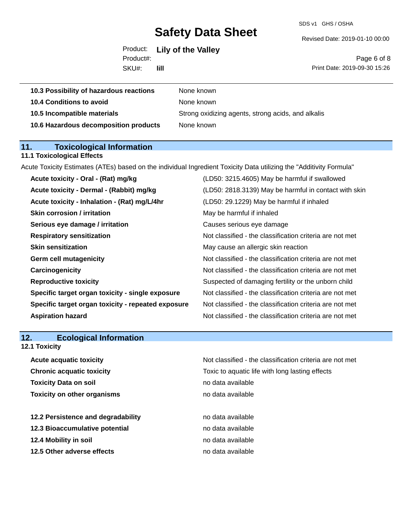SDS v1 GHS / OSHA

#### Revised Date: 2019-01-10 00:00

| Product: Lily of the Valley |  |  |
|-----------------------------|--|--|
| Product#:                   |  |  |

SKU#: **lill**

Page 6 of 8 Print Date: 2019-09-30 15:26

| 10.3 Possibility of hazardous reactions | None known                                         |
|-----------------------------------------|----------------------------------------------------|
| 10.4 Conditions to avoid                | None known                                         |
| 10.5 Incompatible materials             | Strong oxidizing agents, strong acids, and alkalis |
| 10.6 Hazardous decomposition products   | None known                                         |

# **11. Toxicological Information**

## **11.1 Toxicological Effects**

Acute Toxicity Estimates (ATEs) based on the individual Ingredient Toxicity Data utilizing the "Additivity Formula"

| Acute toxicity - Oral - (Rat) mg/kg                | (LD50: 3215.4605) May be harmful if swallowed            |
|----------------------------------------------------|----------------------------------------------------------|
| Acute toxicity - Dermal - (Rabbit) mg/kg           | (LD50: 2818.3139) May be harmful in contact with skin    |
| Acute toxicity - Inhalation - (Rat) mg/L/4hr       | (LD50: 29.1229) May be harmful if inhaled                |
| <b>Skin corrosion / irritation</b>                 | May be harmful if inhaled                                |
| Serious eye damage / irritation                    | Causes serious eye damage                                |
| <b>Respiratory sensitization</b>                   | Not classified - the classification criteria are not met |
| <b>Skin sensitization</b>                          | May cause an allergic skin reaction                      |
| <b>Germ cell mutagenicity</b>                      | Not classified - the classification criteria are not met |
| Carcinogenicity                                    | Not classified - the classification criteria are not met |
| <b>Reproductive toxicity</b>                       | Suspected of damaging fertility or the unborn child      |
| Specific target organ toxicity - single exposure   | Not classified - the classification criteria are not met |
| Specific target organ toxicity - repeated exposure | Not classified - the classification criteria are not met |
| <b>Aspiration hazard</b>                           | Not classified - the classification criteria are not met |
|                                                    |                                                          |

# **12. Ecological Information**

## **12.1 Toxicity**

| Not classified - the classification criteria are not met |
|----------------------------------------------------------|
| Toxic to aquatic life with long lasting effects          |
| no data available                                        |
| no data available                                        |
|                                                          |
| no data available                                        |
| no data available                                        |
| no data available                                        |
| no data available                                        |
|                                                          |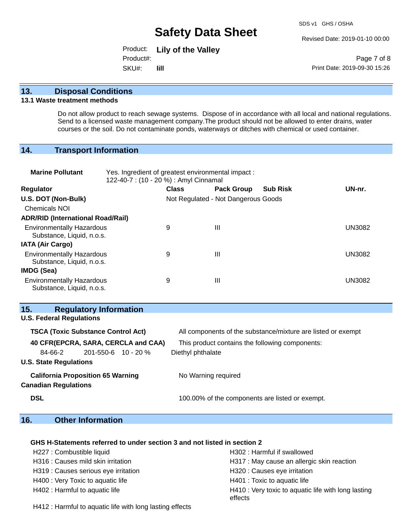Revised Date: 2019-01-10 00:00

Product: **Lily of the Valley** SKU#: Product#: **lill**

Page 7 of 8 Print Date: 2019-09-30 15:26

#### **13. Disposal Conditions**

#### **13.1 Waste treatment methods**

Do not allow product to reach sewage systems. Dispose of in accordance with all local and national regulations. Send to a licensed waste management company.The product should not be allowed to enter drains, water courses or the soil. Do not contaminate ponds, waterways or ditches with chemical or used container.

#### **14. Transport Information**

| <b>Marine Pollutant</b>                                       | Yes. Ingredient of greatest environmental impact:<br>122-40-7 : (10 - 20 %) : Amyl Cinnamal |                                     |                   |                 |               |
|---------------------------------------------------------------|---------------------------------------------------------------------------------------------|-------------------------------------|-------------------|-----------------|---------------|
| <b>Regulator</b>                                              |                                                                                             | <b>Class</b>                        | <b>Pack Group</b> | <b>Sub Risk</b> | UN-nr.        |
| U.S. DOT (Non-Bulk)                                           |                                                                                             | Not Regulated - Not Dangerous Goods |                   |                 |               |
| <b>Chemicals NOI</b>                                          |                                                                                             |                                     |                   |                 |               |
| <b>ADR/RID (International Road/Rail)</b>                      |                                                                                             |                                     |                   |                 |               |
| <b>Environmentally Hazardous</b><br>Substance, Liquid, n.o.s. |                                                                                             | 9                                   | Ш                 |                 | <b>UN3082</b> |
| <b>IATA (Air Cargo)</b>                                       |                                                                                             |                                     |                   |                 |               |
| <b>Environmentally Hazardous</b><br>Substance, Liquid, n.o.s. |                                                                                             | 9                                   | Ш                 |                 | <b>UN3082</b> |
| <b>IMDG (Sea)</b>                                             |                                                                                             |                                     |                   |                 |               |
| <b>Environmentally Hazardous</b><br>Substance, Liquid, n.o.s. |                                                                                             | 9                                   | Ш                 |                 | <b>UN3082</b> |

### **15. Regulatory Information**

**U.S. Federal Regulations**

| <b>TSCA (Toxic Substance Control Act)</b> | All components of the substance/mixture are listed or exempt |
|-------------------------------------------|--------------------------------------------------------------|
| 40 CFR(EPCRA, SARA, CERCLA and CAA)       | This product contains the following components:              |
| $201 - 550 - 6$ 10 - 20 %<br>84-66-2      | Diethyl phthalate                                            |
| <b>U.S. State Regulations</b>             |                                                              |
| <b>California Proposition 65 Warning</b>  | No Warning required                                          |
| <b>Canadian Regulations</b>               |                                                              |
| <b>DSL</b>                                | 100.00% of the components are listed or exempt.              |

### **16. Other Information**

#### **GHS H-Statements referred to under section 3 and not listed in section 2**

| H227 : Combustible liquid            | H302: Harmful if swallowed                                     |
|--------------------------------------|----------------------------------------------------------------|
| H316 : Causes mild skin irritation   | H317 : May cause an allergic skin reaction                     |
| H319 : Causes serious eye irritation | H320 : Causes eye irritation                                   |
| H400 : Very Toxic to aquatic life    | H401 : Toxic to aquatic life                                   |
| H402 : Harmful to aquatic life       | H410 : Very toxic to aquatic life with long lasting<br>effects |

H412 : Harmful to aquatic life with long lasting effects